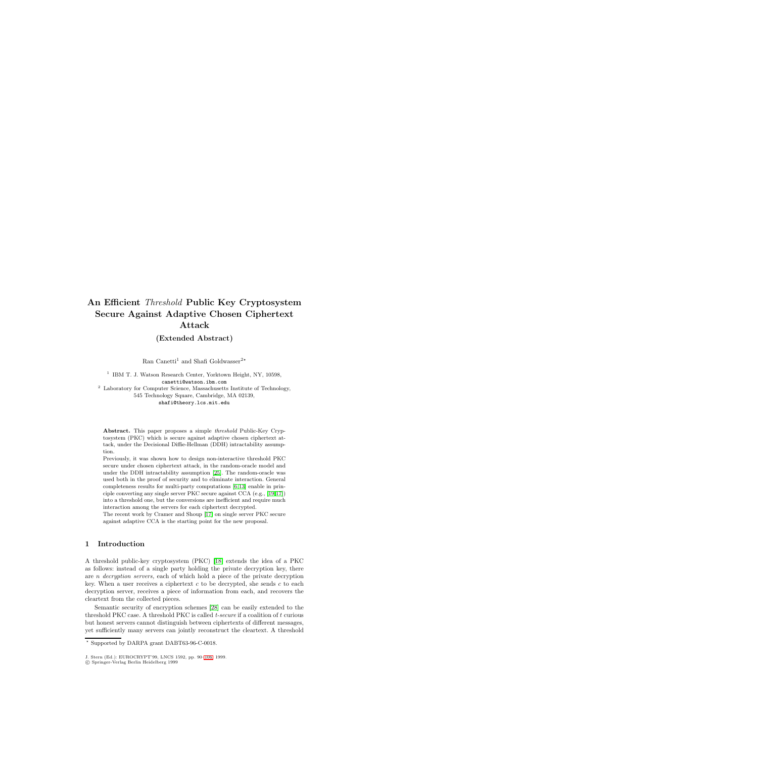# **An Efficient** Threshold **Public Key Cryptosystem Secure Against Adaptive Chosen Ciphertext Attack**

**(Extended Abstract)**

Ran Canetti<sup>1</sup> and Shafi Goldwasser<sup>2\*</sup>

<sup>1</sup> IBM T. J. Watson Research Center, Yorktown Height, NY, 10598, canetti@watson.ibm.com

<sup>2</sup> Laboratory for Computer Science, Massachusetts Institute of Technology, 545 Technology Square, Cambridge, MA 02139,

shafi@theory.lcs.mit.edu

**Abstract.** This paper proposes a simple threshold Public-Key Cryptosystem (PKC) which is secure against adaptive chosen ciphertext attack, under the Decisional Diffie-Hellman (DDH) intractability assumption.

Previously, it was shown how to design non-interactive threshold PKC secure under chosen ciphertext attack, in the random-oracle model and under the DDH intractability assumption [\[25\]](#page-16-0). The random-oracle was used both in the proof of security and to eliminate interaction. General completeness results for multi-party computations [\[6,](#page-15-0)[13\]](#page-15-1) enable in principle converting any single server PKC secure against CCA (e.g., [\[19,](#page-15-2)[17\]](#page-15-3)) into a threshold one, but the conversions are inefficient and require much interaction among the servers for each ciphertext decrypted.

The recent work by Cramer and Shoup [\[17\]](#page-15-3) on single server PKC secure against adaptive CCA is the starting point for the new proposal.

#### **1 Introduction**

A threshold public-key cryptosystem (PKC) [\[18\]](#page-15-4) extends the idea of a PKC as follows: instead of a single party holding the private decryption key, there are n *decryption servers,* each of which hold a piece of the private decryption key. When a user receives a ciphertext  $c$  to be decrypted, she sends  $c$  to each decryption server, receives a piece of information from each, and recovers the cleartext from the collected pieces.

Semantic security of encryption schemes [\[28\]](#page-16-1) can be easily extended to the threshold PKC case. A threshold PKC is called *t-secure* if a coalition of t curious but honest servers cannot distinguish between ciphertexts of different messages, yet sufficiently many servers can jointly reconstruct the cleartext. A threshold

<sup>?</sup> Supported by DARPA grant DABT63-96-C-0018.

J. Stern (Ed.): EUROCRYPT'99, LNCS 1592, pp. 90[–106,](#page-16-2) 1999.

c Springer-Verlag Berlin Heidelberg 1999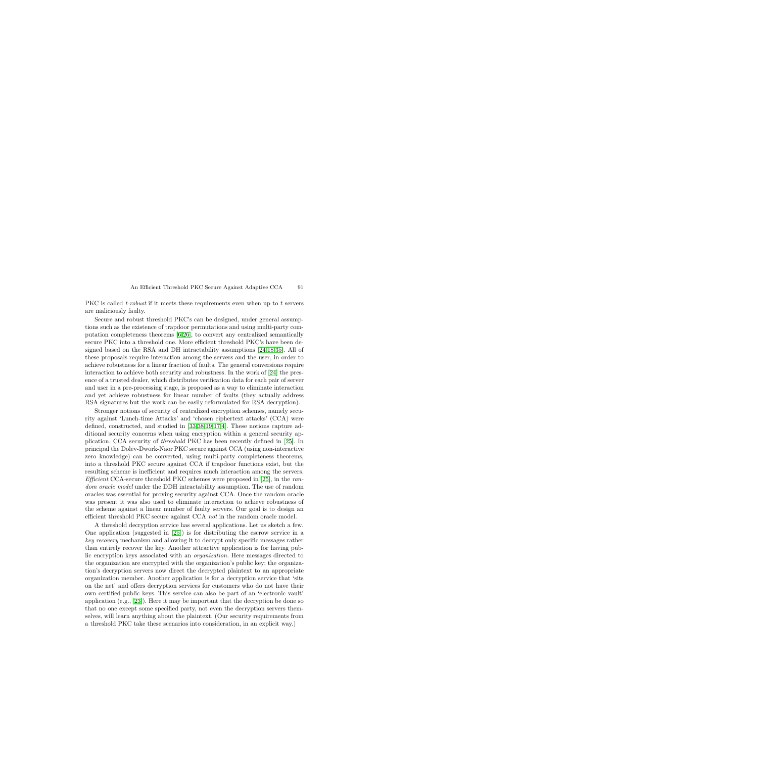PKC is called *t-robust* if it meets these requirements even when up to t servers are maliciously faulty.

Secure and robust threshold PKC's can be designed, under general assumptions such as the existence of trapdoor permutations and using multi-party computation completeness theorems [\[6,](#page-15-0)[26\]](#page-16-3), to convert any centralized semantically secure PKC into a threshold one. More efficient threshold PKC's have been designed based on the RSA and DH intractability assumptions [\[24,](#page-15-5)[18](#page-15-4)[,35\]](#page-16-4). All of these proposals require interaction among the servers and the user, in order to achieve robustness for a linear fraction of faults. The general conversions require interaction to achieve both security and robustness. In the work of [\[24\]](#page-15-5) the presence of a trusted dealer, which distributes verification data for each pair of server and user in a pre-processing stage, is proposed as a way to eliminate interaction and yet achieve robustness for linear number of faults (they actually address RSA signatures but the work can be easily reformulated for RSA decryption).

Stronger notions of security of centralized encryption schemes, namely security against 'Lunch-time Attacks' and 'chosen ciphertext attacks' (CCA) were defined, constructed, and studied in [\[33,](#page-16-5)[38](#page-16-6)[,19](#page-15-2)[,17](#page-15-3)[,4\]](#page-15-6). These notions capture additional security concerns when using encryption within a general security application. CCA security of *threshold* PKC has been recently defined in [\[25\]](#page-16-0). In principal the Dolev-Dwork-Naor PKC secure against CCA (using non-interactive zero knowledge) can be converted, using multi-party completeness theorems, into a threshold PKC secure against CCA if trapdoor functions exist, but the resulting scheme is inefficient and requires much interaction among the servers. *Efficient* CCA-secure threshold PKC schemes were proposed in [\[25\]](#page-16-0), in the *random oracle model* under the DDH intractability assumption. The use of random oracles was essential for proving security against CCA. Once the random oracle was present it was also used to eliminate interaction to achieve robustness of the scheme against a linear number of faulty servers. Our goal is to design an efficient threshold PKC secure against CCA *not* in the random oracle model.

A threshold decryption service has several applications. Let us sketch a few. One application (suggested in [\[25\]](#page-16-0)) is for distributing the escrow service in a *key recovery* mechanism and allowing it to decrypt only specific messages rather than entirely recover the key. Another attractive application is for having public encryption keys associated with an *organization.* Here messages directed to the organization are encrypted with the organization's public key; the organization's decryption servers now direct the decrypted plaintext to an appropriate organization member. Another application is for a decryption service that 'sits on the net' and offers decryption services for customers who do not have their own certified public keys. This service can also be part of an 'electronic vault' application (e.g., [\[23\]](#page-15-7)). Here it may be important that the decryption be done so that no one except some specified party, not even the decryption servers themselves, will learn anything about the plaintext. (Our security requirements from a threshold PKC take these scenarios into consideration, in an explicit way.)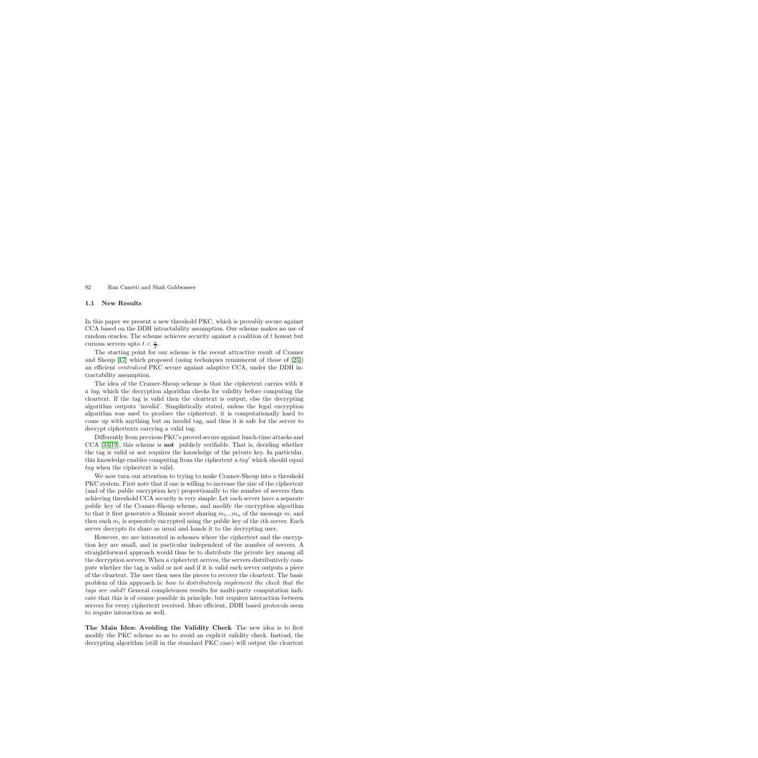#### **1.1 New Results**

In this paper we present a new threshold PKC, which is provably secure against CCA based on the DDH intractability assumption. Our scheme makes no use of random oracles. The scheme achieves security against a coalition of t honest but curious servers upto  $t < \frac{n}{2}$ .

The starting point for our scheme is the recent attractive result of Cramer and Shoup [\[17\]](#page-15-3) which proposed (using techniques reminiscent of those of [\[25\]](#page-16-0)) an efficient *centralized* PKC secure against adaptive CCA, under the DDH intractability assumption.

The idea of the Cramer-Shoup scheme is that the ciphertext carries with it a *tag*, which the decryption algorithm checks for validity before computing the cleartext. If the tag is valid then the cleartext is output, else the decrypting algorithm outputs 'invalid'. Simplistically stated, unless the legal encryption algorithm was used to produce the ciphertext, it is computationally hard to come up with anything but an invalid tag, and thus it is safe for the server to decrypt ciphertexts carrying a valid tag.

Differently from previous PKC's proved secure against lunch-time attacks and CCA [\[33,](#page-16-5)[19\]](#page-15-2), this scheme is **not** publicly verifiable. That is, deciding whether the tag is valid or not requires the knowledge of the private key. In particular, this knowledge enables computing from the ciphertext a  $tag'$  which should equal tag when the ciphertext is valid.

We now turn our attention to trying to make Cramer-Shoup into a threshold PKC system. First note that if one is willing to increase the size of the ciphertext (and of the public encryption key) proportionally to the number of servers then achieving threshold CCA security is very simple: Let each server have a separate public key of the Cramer-Shoup scheme, and modify the encryption algorithm to that it first generates a Shamir secret sharing  $m_1...m_n$  of the message m, and then each  $m_i$  is separately encrypted using the public key of the *i*th server. Each server decrypts its share as usual and hands it to the decrypting user.

However, we are interested in schemes where the ciphertext and the encryption key are small, and in particular independent of the number of servers. A straightforward approach would thus be to distribute the private key among all the decryption servers. When a ciphertext arrives, the servers distributively compute whether the tag is valid or not and if it is valid each server outputs a piece of the cleartext. The user then uses the pieces to recover the cleartext. The basic problem of this approach is: *how to distributively implement the check that the tags are valid?* General completeness results for multi-party computation indicate that this is of course possible in principle, but requires interaction between servers for every ciphertext received. More efficient, DDH based protocols seem to require interaction as well.

**The Main Idea: Avoiding the Validity Check** The new idea is to first modify the PKC scheme so as to avoid an explicit validity check. Instead, the decrypting algorithm (still in the standard PKC case) will output the cleartext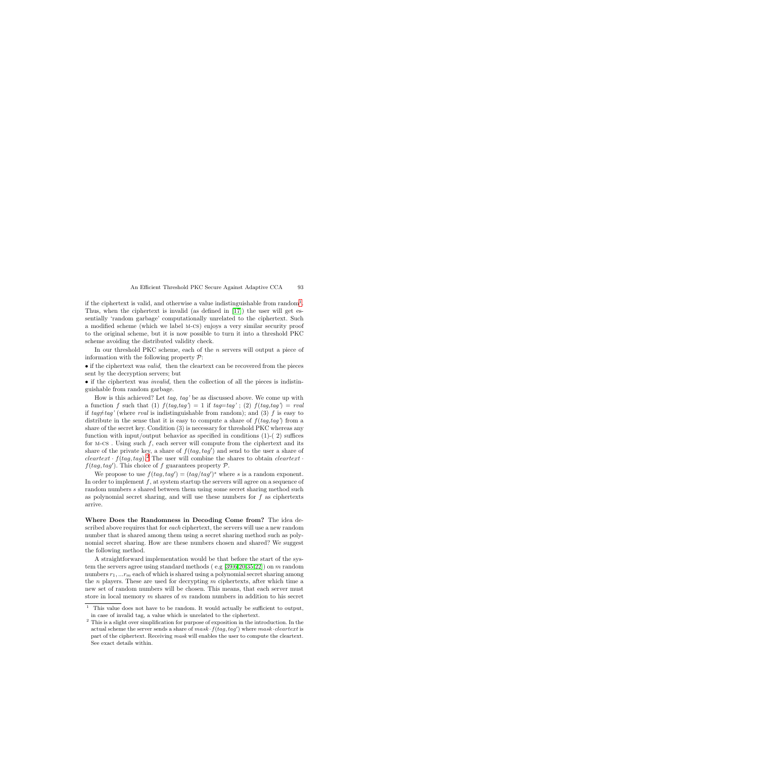if the ciphertext is valid, and otherwise a value indistinguishable from  $\text{random}^1$  $\text{random}^1$ . Thus, when the ciphertext is invalid (as defined in [\[17\]](#page-15-3)) the user will get essentially 'random garbage' computationally unrelated to the ciphertext. Such a modified scheme (which we label m-cs) enjoys a very similar security proof to the original scheme, but it is now possible to turn it into a threshold PKC scheme avoiding the distributed validity check.

In our threshold PKC scheme, each of the n servers will output a piece of information with the following property  $\mathcal{P}$ :

• if the ciphertext was *valid,* then the cleartext can be recovered from the pieces sent by the decryption servers; but

• if the ciphertext was *invalid,* then the collection of all the pieces is indistinguishable from random garbage.

How is this achieved? Let *tag, tag'* be as discussed above. We come up with a function f such that (1)  $f(tag, tag') = 1$  if  $tag = tag'$ ; (2)  $f(tag, tag') = \text{rval}$ if  $tag \neq tag'$  (where *rval* is indistinguishable from random); and (3) f is easy to distribute in the sense that it is easy to compute a share of  $f(tag, tag')$  from a share of the secret key. Condition (3) is necessary for threshold PKC whereas any function with input/output behavior as specified in conditions  $(1)-(2)$  suffices for  $M-CS$ . Using such f, each server will compute from the ciphertext and its share of the private key, a share of  $f(tag, tag')$  and send to the user a share of cleartext  $\cdot$  f(tag, tag).<sup>[2](#page-3-1)</sup> The user will combine the shares to obtain cleartext  $\cdot$  $f(tag, tag')$ . This choice of f guarantees property  $P$ .

We propose to use  $f(tag, tag') = (tag/tag')^s$  where s is a random exponent. In order to implement  $f$ , at system startup the servers will agree on a sequence of random numbers s shared between them using some secret sharing method such as polynomial secret sharing, and will use these numbers for  $f$  as ciphertexts arrive.

**Where Does the Randomness in Decoding Come from?** The idea described above requires that for *each* ciphertext, the servers will use a new random number that is shared among them using a secret sharing method such as polynomial secret sharing. How are these numbers chosen and shared? We suggest the following method.

A straightforward implementation would be that before the start of the system the servers agree using standard methods (e.g  $[39,6,20,35,22]$  $[39,6,20,35,22]$  $[39,6,20,35,22]$  $[39,6,20,35,22]$  $[39,6,20,35,22]$ ) on m random numbers  $r_1, ... r_m$  each of which is shared using a polynomial secret sharing among the *n* players. These are used for decrypting  $m$  ciphertexts, after which time a new set of random numbers will be chosen. This means, that each server must store in local memory  $m$  shares of  $m$  random numbers in addition to his secret

<span id="page-3-0"></span><sup>1</sup> This value does not have to be random. It would actually be sufficient to output, in case of invalid tag, a value which is unrelated to the ciphertext.

<span id="page-3-1"></span> $2$  This is a slight over simplification for purpose of exposition in the introduction. In the actual scheme the server sends a share of  $mask \cdot f(tag, tag')$  where  $mask \cdot cleartext$  is<br>nart of the ciphertext. Beceiving mask will enables the user to compute the cleartext part of the ciphertext. Receiving mask will enables the user to compute the cleartext. See exact details within.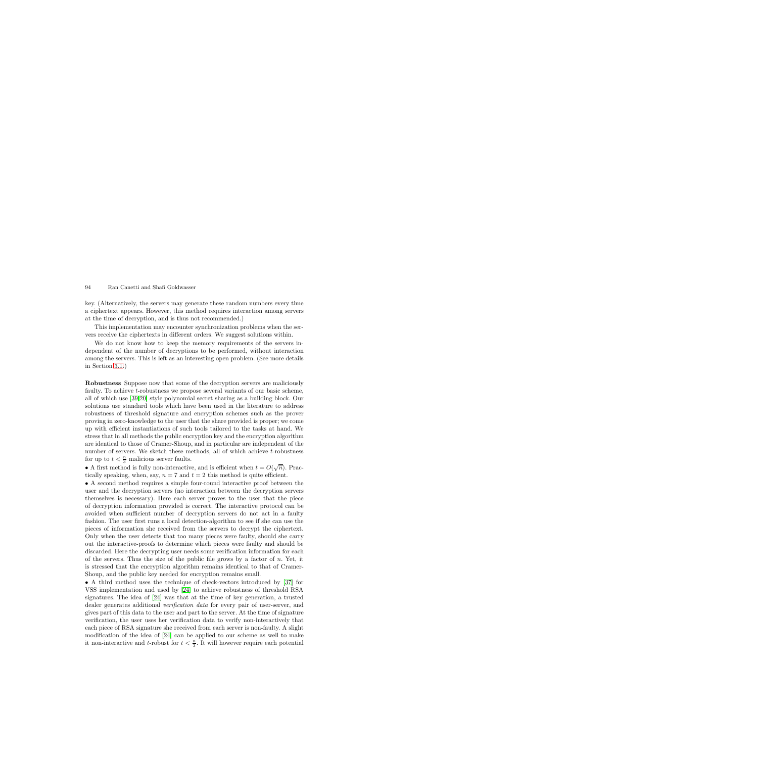key. (Alternatively, the servers may generate these random numbers every time a ciphertext appears. However, this method requires interaction among servers at the time of decryption, and is thus not recommended.)

This implementation may encounter synchronization problems when the servers receive the ciphertexts in different orders. We suggest solutions within.

We do not know how to keep the memory requirements of the servers independent of the number of decryptions to be performed, without interaction among the servers. This is left as an interesting open problem. (See more details in Section [3.1.](#page-9-0))

**Robustness** Suppose now that some of the decryption servers are maliciously faulty. To achieve t-robustness we propose several variants of our basic scheme, all of which use [\[39](#page-16-7)[,20\]](#page-15-8) style polynomial secret sharing as a building block. Our solutions use standard tools which have been used in the literature to address robustness of threshold signature and encryption schemes such as the prover proving in zero-knowledge to the user that the share provided is proper; we come up with efficient instantiations of such tools tailored to the tasks at hand. We stress that in all methods the public encryption key and the encryption algorithm are identical to those of Cramer-Shoup, and in particular are independent of the number of servers. We sketch these methods, all of which achieve t-robustness for up to  $t < \frac{n}{3}$  malicious server faults.

• A first method is fully non-interactive, and is efficient when  $t = O(\sqrt{n})$ . Practically speaking, when, say,  $n = 7$  and  $t = 2$  this method is quite efficient.

• A second method requires a simple four-round interactive proof between the user and the decryption servers (no interaction between the decryption servers themselves is necessary). Here each server proves to the user that the piece of decryption information provided is correct. The interactive protocol can be avoided when sufficient number of decryption servers do not act in a faulty fashion. The user first runs a local detection-algorithm to see if she can use the pieces of information she received from the servers to decrypt the ciphertext. Only when the user detects that too many pieces were faulty, should she carry out the interactive-proofs to determine which pieces were faulty and should be discarded. Here the decrypting user needs some verification information for each of the servers. Thus the size of the public file grows by a factor of  $n$ . Yet, it is stressed that the encryption algorithm remains identical to that of Cramer-Shoup, and the public key needed for encryption remains small.

• A third method uses the technique of check-vectors introduced by [\[37\]](#page-16-8) for VSS implementation and used by [\[24\]](#page-15-5) to achieve robustness of threshold RSA signatures. The idea of [\[24\]](#page-15-5) was that at the time of key generation, a trusted dealer generates additional *verification data* for every pair of user-server, and gives part of this data to the user and part to the server. At the time of signature verification, the user uses her verification data to verify non-interactively that each piece of RSA signature she received from each server is non-faulty. A slight modification of the idea of [\[24\]](#page-15-5) can be applied to our scheme as well to make it non-interactive and t-robust for  $t < \frac{n}{3}$ . It will however require each potential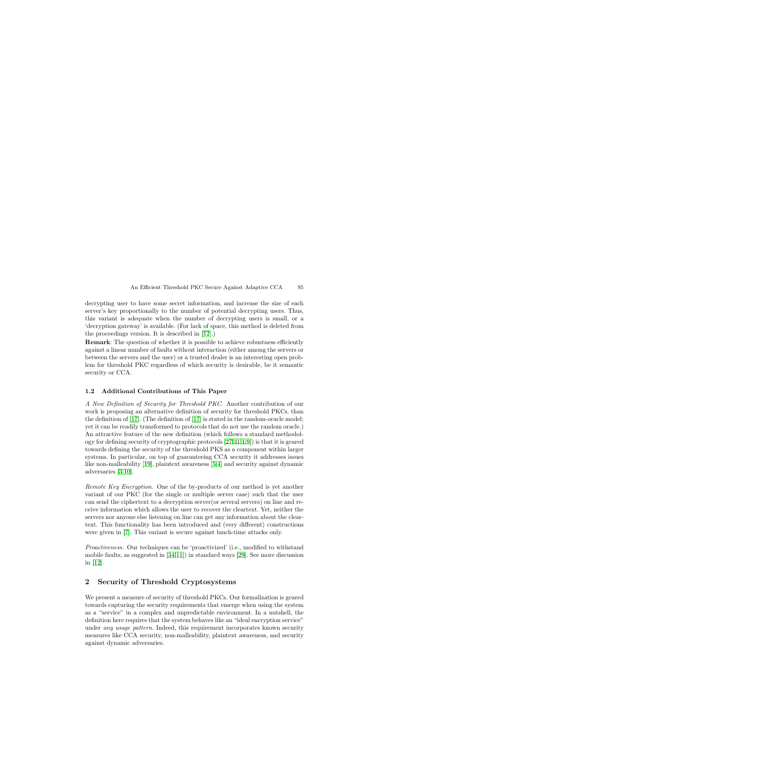decrypting user to have some secret information, and increase the size of each server's key proportionally to the number of potential decrypting users. Thus, this variant is adequate when the number of decrypting users is small, or a 'decryption gateway' is available. (For lack of space, this method is deleted from the proceedings version. It is described in [\[12\]](#page-15-10).)

**Remark**: The question of whether it is possible to achieve robustness efficiently against a linear number of faults without interaction (either among the servers or between the servers and the user) or a trusted dealer is an interesting open problem for threshold PKC regardless of which security is desirable, be it semantic security or CCA.

### **1.2 Additional Contributions of This Paper**

*A New Definition of Security for Threshold PKC.* Another contribution of our work is proposing an alternative definition of security for threshold PKCs. than the definition of [\[17\]](#page-15-3). (The definition of [\[17\]](#page-15-3) is stated in the random-oracle model; yet it can be readily transformed to protocols that do not use the random oracle.) An attractive feature of the new definition (which follows a standard methodology for defining security of cryptographic protocols [\[27](#page-16-9)[,31,](#page-16-10)[1](#page-14-0)[,9\]](#page-15-11)) is that it is geared towards defining the security of the threshold PKS as a component within larger systems. In particular, on top of guaranteeing CCA security it addresses issues like non-malleability [\[19\]](#page-15-2), plaintext awareness [\[5](#page-15-12)[,4\]](#page-15-6) and security against dynamic adversaries [\[3,](#page-15-13)[10\]](#page-15-14).

*Remote Key Encryption.* One of the by-products of our method is yet another variant of our PKC (for the single or multiple server case) such that the user can send the ciphertext to a decryption server(or several servers) on line and receive information which allows the user to recover the cleartext. Yet, neither the servers nor anyone else listening on line can get any information about the cleartext. This functionality has been introduced and (very different) constructions were given in [\[7\]](#page-15-15). This variant is secure against lunch-time attacks only.

*Proactiveness.* Our techniques can be 'proactivized' (i.e., modified to withstand mobile faults, as suggested in [\[34](#page-16-11)[,11\]](#page-15-16)) in standard ways [\[29\]](#page-16-12). See more discussion in [\[12\]](#page-15-10).

## **2 Security of Threshold Cryptosystems**

We present a measure of security of threshold PKCs. Our formalization is geared towards capturing the security requirements that emerge when using the system as a "service" in a complex and unpredictable environment. In a nutshell, the definition here requires that the system behaves like an "ideal encryption service" under *any usage pattern.* Indeed, this requirement incorporates known security measures like CCA security, non-malleability, plaintext awareness, and security against dynamic adversaries.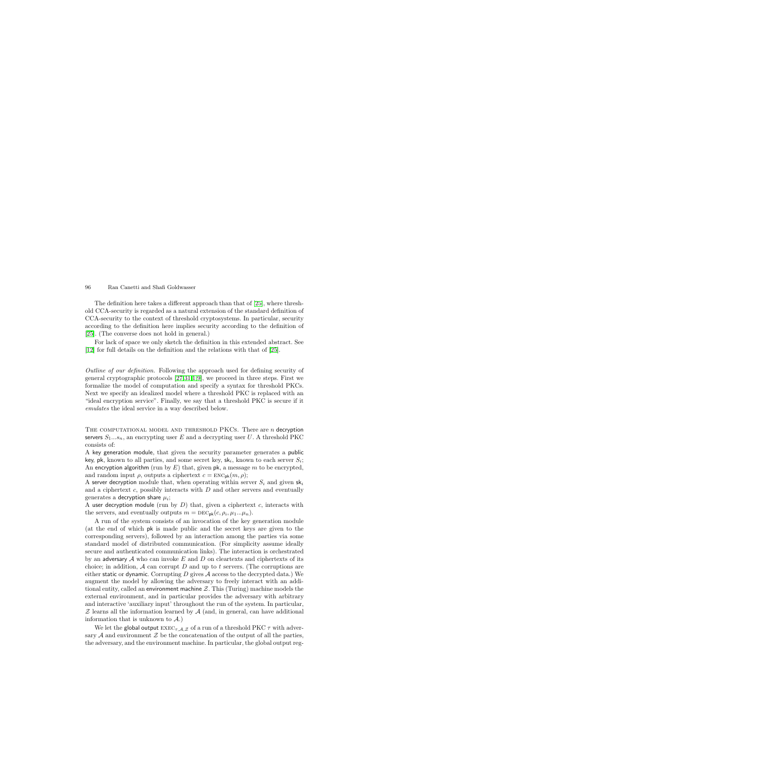The definition here takes a different approach than that of [\[25\]](#page-16-0), where threshold CCA-security is regarded as a natural extension of the standard definition of CCA-security to the context of threshold cryptosystems. In particular, security according to the definition here implies security according to the definition of [\[25\]](#page-16-0). (The converse does not hold in general.)

For lack of space we only sketch the definition in this extended abstract. See [\[12\]](#page-15-10) for full details on the definition and the relations with that of [\[25\]](#page-16-0).

*Outline of our definition.* Following the approach used for defining security of general cryptographic protocols [\[27,](#page-16-9)[31,](#page-16-10)[1,](#page-14-0)[9\]](#page-15-11), we proceed in three steps. First we formalize the model of computation and specify a syntax for threshold PKCs. Next we specify an idealized model where a threshold PKC is replaced with an "ideal encryption service". Finally, we say that a threshold PKC is secure if it *emulates* the ideal service in a way described below.

THE COMPUTATIONAL MODEL AND THRESHOLD PKCS. There are  $n$  decryption servers  $S_1...s_n$ , an encrypting user E and a decrypting user U. A threshold PKC consists of:

A key generation module, that given the security parameter generates a public key, pk, known to all parties, and some secret key,  $sk_i$ , known to each server  $S_i$ ; An encryption algorithm (run by  $E$ ) that, given pk, a message m to be encrypted, and random input  $\rho$ , outputs a ciphertext  $c = \text{ENC}_{\text{pk}}(m, \rho)$ ;

A server decryption module that, when operating within server  $S_i$  and given sk<sub>i</sub> and a ciphertext  $c$ , possibly interacts with  $D$  and other servers and eventually generates a decryption share  $\mu_i$ ;

A user decryption module (run by  $D$ ) that, given a ciphertext  $c$ , interacts with the servers, and eventually outputs  $m = \text{DEC}_{pk}(c, \rho_i, \mu_1...\mu_n)$ .

A run of the system consists of an invocation of the key generation module (at the end of which pk is made public and the secret keys are given to the corresponding servers), followed by an interaction among the parties via some standard model of distributed communication. (For simplicity assume ideally secure and authenticated communication links). The interaction is orchestrated by an adversary  $A$  who can invoke  $E$  and  $D$  on cleartexts and ciphertexts of its choice; in addition,  $A$  can corrupt  $D$  and up to t servers. (The corruptions are either static or dynamic. Corrupting D gives  $A$  access to the decrypted data.) We augment the model by allowing the adversary to freely interact with an additional entity, called an environment machine  $\mathcal{Z}$ . This (Turing) machine models the external environment, and in particular provides the adversary with arbitrary and interactive 'auxiliary input' throughout the run of the system. In particular,  $Z$  learns all the information learned by  $A$  (and, in general, can have additional information that is unknown to  $\mathcal{A}$ .)

We let the global output  $\text{EXEC}_{\tau,\mathcal{A},\mathcal{Z}}$  of a run of a threshold PKC  $\tau$  with adversary  $\mathcal A$  and environment  $\mathcal Z$  be the concatenation of the output of all the parties, the adversary, and the environment machine. In particular, the global output reg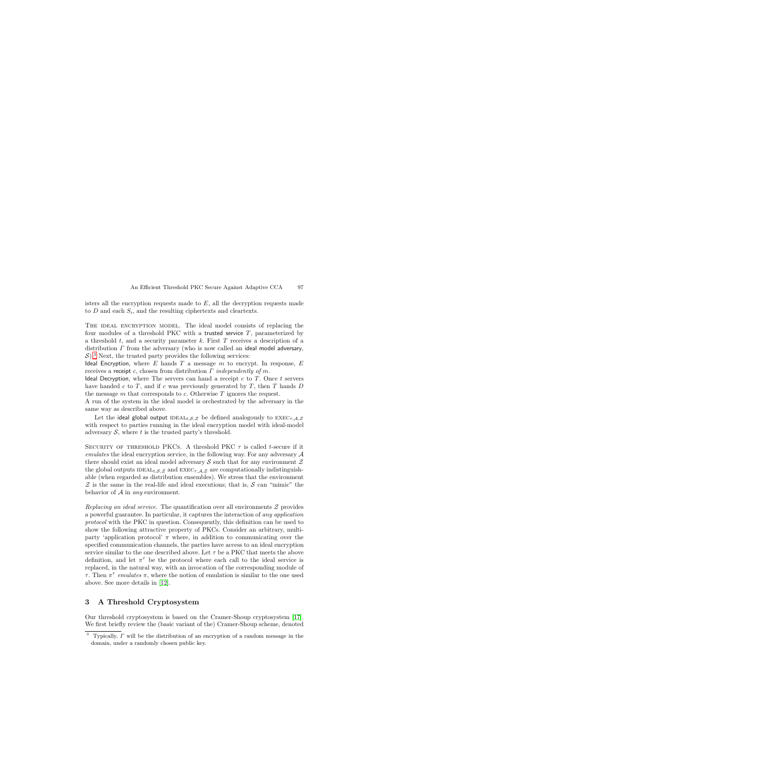isters all the encryption requests made to  $E$ , all the decryption requests made to  $D$  and each  $S_i$ , and the resulting ciphertexts and cleartexts.

THE IDEAL ENCRYPTION MODEL. The ideal model consists of replacing the four modules of a threshold PKC with a trusted service  $T$ , parameterized by a threshold  $t$ , and a security parameter  $k$ . First  $T$  receives a description of a distribution  $\Gamma$  from the adversary (who is now called an ideal model adversary,  $\mathcal{S}$ ).<sup>[3](#page-7-0)</sup> Next, the trusted party provides the following services:

Ideal Encryption, where E hands T a message  $m$  to encrypt. In response, E receives a receipt c, chosen from distribution Γ *independently of* m*.*

Ideal Decryption, where The servers can hand a receipt  $c$  to  $T$ . Once t servers have handed  $c$  to  $T$ , and if  $c$  was previously generated by  $T$ , then  $T$  hands  $D$ the message  $m$  that corresponds to  $c$ . Otherwise  $T$  ignores the request.

A run of the system in the ideal model is orchestrated by the adversary in the same way as described above.

Let the ideal global output  $\text{IDEAL}_{t,S,\mathcal{Z}}$  be defined analogously to  $\text{EXEC}_{\tau,A,\mathcal{Z}}$ with respect to parties running in the ideal encryption model with ideal-model adversary  $S$ , where t is the trusted party's threshold.

SECURITY OF THRESHOLD PKCS. A threshold PKC  $\tau$  is called t-secure if it *emulates* the ideal encryption service, in the following way. For any adversary A there should exist an ideal model adversary S such that for any environment  $\mathcal Z$ the global outputs  $\text{IDEAL}_{t,S,Z}$  and  $\text{EXEC}_{\tau,A,Z}$  are computationally indistinguishable (when regarded as distribution ensembles). We stress that the environment  $Z$  is the same in the real-life and ideal executions; that is,  $S$  can "mimic" the behavior of A in *any* environment.

*Replacing an ideal service.* The quantification over all environments Z provides a powerful guarantee. In particular, it captures the interaction of *any application protocol* with the PKC in question. Consequently, this definition can be used to show the following attractive property of PKCs. Consider an arbitrary, multiparty 'application protocol'  $\pi$  where, in addition to communicating over the specified communication channels, the parties have access to an ideal encryption service similar to the one described above. Let  $\tau$  be a PKC that meets the above definition, and let  $\pi^{\tau}$  be the protocol where each call to the ideal service is replaced, in the natural way, with an invocation of the corresponding module of  $\tau$ . Then  $\pi^{\tau}$  *emulates*  $\pi$ , where the notion of emulation is similar to the one used above. See more details in [\[12\]](#page-15-10).

### **3 A Threshold Cryptosystem**

Our threshold cryptosystem is based on the Cramer-Shoup cryptosystem [\[17\]](#page-15-3). We first briefly review the (basic variant of the) Cramer-Shoup scheme, denoted

<span id="page-7-0"></span>Typically,  $\Gamma$  will be the distribution of an encryption of a random message in the domain, under a randomly chosen public key.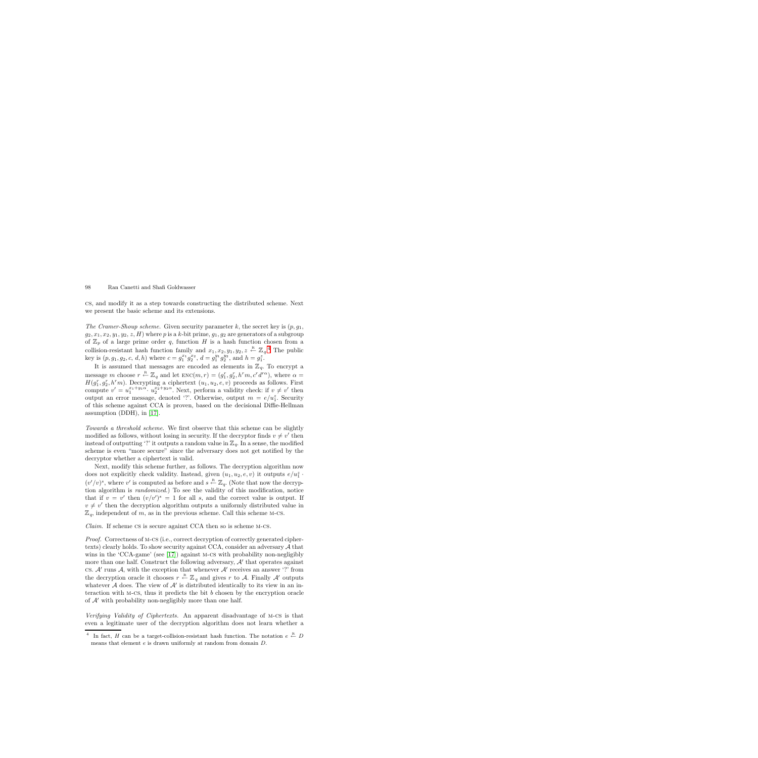cs, and modify it as a step towards constructing the distributed scheme. Next we present the basic scheme and its extensions.

*The Cramer-Shoup scheme.* Given security parameter k, the secret key is  $(p, q_1, q_2)$  $g_2, x_1, x_2, y_1, y_2, z, H$  where p is a k-bit prime,  $g_1, g_2$  are generators of a subgroup of  $\mathbb{Z}_p$  of a large prime order q, function H is a hash function chosen from a collision-resistant hash function family and  $x_1, x_2, y_1, y_2, z \stackrel{\text{R}}{\leftarrow} \mathbb{Z}_q$ . The public key is  $(p, g_1, g_2, c, d, h)$  where  $c = g_1^{x_1} g_2^{x_2}, d = g_1^{y_1} g_2^{y_2}$ , and  $h = g_1^z$ .

It is assumed that messages are encoded as elements in  $\mathbb{Z}_q$ . To encrypt a message m choose  $r \stackrel{\text{R}}{\leftarrow} \mathbb{Z}_q$  and let  $\text{ENC}(m, r) = (g_1^r, g_2^r, h^r m, c^r d^{r\alpha})$ , where  $\alpha =$  $H(g_1^r, g_2^r, h^r m)$ . Decrypting a ciphertext  $(u_1, u_2, e, v)$  proceeds as follows. First compute  $v' = u_1^{x_1+y_1\alpha} \cdot u_2^{x_2+y_2\alpha}$ . Next, perform a validity check: if  $v \neq v'$  then output an error message, denoted '?'. Otherwise, output  $m = e/u_1^z$ . Security of this scheme against CCA is proven, based on the decisional Diffie-Hellman assumption (DDH), in [\[17\]](#page-15-3).

*Towards a threshold scheme.* We first observe that this scheme can be slightly modified as follows, without losing in security. If the decryptor finds  $v \neq v'$  then instead of outputting '?' it outputs a random value in  $\mathbb{Z}_q$ . In a sense, the modified scheme is even "more secure" since the adversary does not get notified by the decryptor whether a ciphertext is valid.

Next, modify this scheme further, as follows. The decryption algorithm now does not explicitly check validity. Instead, given  $(u_1, u_2, e, v)$  it outputs  $e/u_1^z$ .  $(v'/v)^s$ , where v' is computed as before and  $s \stackrel{\text{R}}{\leftarrow} \mathbb{Z}_q$ . (Note that now the decryption algorithm is *randomized.*) To see the validity of this modification, notice that if  $v = v'$  then  $(v/v')^s = 1$  for all s, and the correct value is output. If  $v \neq v'$  then the decryption algorithm outputs a uniformly distributed value in  $\mathbb{Z}_q$ , independent of m, as in the previous scheme. Call this scheme M-CS.

*Claim.* If scheme CS is secure against CCA then so is scheme M-CS.

*Proof.* Correctness of m-cs (i.e., correct decryption of correctly generated ciphertexts) clearly holds. To show security against CCA, consider an adversary A that wins in the 'CCA-game' (see [\[17\]](#page-15-3)) against m-cs with probability non-negligibly more than one half. Construct the following adversary,  $A'$  that operates against cs.  $A'$  runs A, with the exception that whenever  $A'$  receives an answer '?' from the decryption oracle it chooses  $r \stackrel{\text{R}}{\leftarrow} \mathbb{Z}_q$  and gives r to A. Finally A' outputs whatever  $A$  does. The view of  $A'$  is distributed identically to its view in an interaction with m-cs, thus it predicts the bit b chosen by the encryption oracle of  $A'$  with probability non-negligibly more than one half.

*Verifying Validity of Ciphertexts.* An apparent disadvantage of m-cs is that even a legitimate user of the decryption algorithm does not learn whether a

<span id="page-8-0"></span><sup>&</sup>lt;sup>4</sup> In fact, *H* can be a target-collision-resistant hash function. The notation  $e \stackrel{R}{\leftarrow} D$  means that element e is drawn uniformly at random from domain *D* means that element e is drawn uniformly at random from domain D.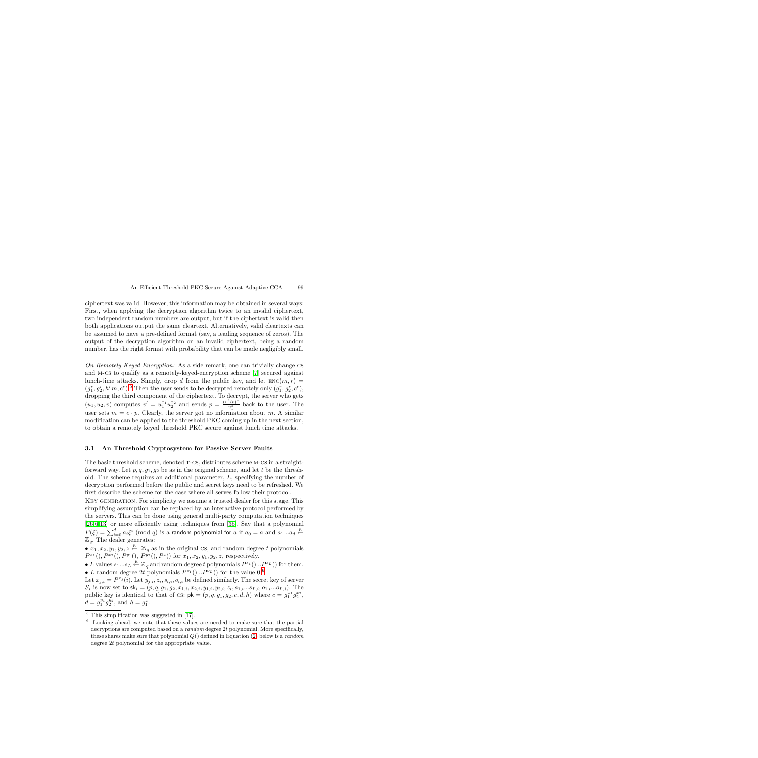ciphertext was valid. However, this information may be obtained in several ways: First, when applying the decryption algorithm twice to an invalid ciphertext, two independent random numbers are output, but if the ciphertext is valid then both applications output the same cleartext. Alternatively, valid cleartexts can be assumed to have a pre-defined format (say, a leading sequence of zeros). The output of the decryption algorithm on an invalid ciphertext, being a random number, has the right format with probability that can be made negligibly small.

*On Remotely Keyed Encryption:* As a side remark, one can trivially change cs and m-cs to qualify as a remotely-keyed-encryption scheme [\[7\]](#page-15-15) secured against lunch-time attacks. Simply, drop d from the public key, and let  $ENC(m, r) =$  $(g_1^r, g_2^r, h^r m, c^r)$ .<sup>[5](#page-9-1)</sup> Then the user sends to be decrypted remotely only  $(g_1^r, g_2^r, c^r)$ , dropping the third component of the ciphertext. To decrypt, the server who gets  $(u_1, u_2, v)$  computes  $v' = u_1^{x_1} u_2^{x_2}$  and sends  $p = \frac{(v'/v)^s}{u_2^s}$  $\frac{\sqrt{v_f}}{u_1^z}$  back to the user. The user sets  $m = e \cdot p$ . Clearly, the server got no information about m. A similar modification can be applied to the threshold PKC coming up in the next section, to obtain a remotely keyed threshold PKC secure against lunch time attacks.

#### <span id="page-9-0"></span>**3.1 An Threshold Cryptosystem for Passive Server Faults**

The basic threshold scheme, denoted T-CS, distributes scheme M-CS in a straightforward way. Let  $p, q, g_1, g_2$  be as in the original scheme, and let t be the threshold. The scheme requires an additional parameter, L, specifying the number of decryption performed before the public and secret keys need to be refreshed. We first describe the scheme for the case where all serves follow their protocol.

Key generation. For simplicity we assume a trusted dealer for this stage. This simplifying assumption can be replaced by an interactive protocol performed by the servers. This can be done using general multi-party computation techniques [\[26](#page-16-3)[,6](#page-15-0)[,13\]](#page-15-1) or more efficiently using techniques from [\[35\]](#page-16-4). Say that a polynomial  $P(\xi)=\sum_{i=0}^da_i\xi^i\;(\text{mod }q)$  is a random polynomial for  $a$  if  $a_0=a$  and  $a_1...a_d\stackrel{\text{\tiny R}}{\leftarrow}$  $\mathbb{Z}_q$ . The dealer generates:

•  $x_1, x_2, y_1, y_2, z \stackrel{\text{R}}{\leftarrow} \mathbb{Z}_q$  as in the original cs, and random degree t polynomials  $P^{x_1}(), P^{x_2}(), P^{y_1}(), P^{y_2}(), P^z()$  for  $x_1, x_2, y_1, y_2, z$ , respectively.

• L values  $s_1...s_L \stackrel{\text{R}}{\leftarrow} \mathbb{Z}_q$  and random degree t polynomials  $P^{s_1}(\dots P^{s_L}(\)$  for them.  $\bullet$   $L$  random degree  $2t$  polynomials  $P^{o_1}()..P^{o_L}()$  for the value  $0.^6$  $0.^6$ 

Let  $x_{j,i} = P^{x_j}(i)$ . Let  $y_{j,i}, z_i, s_{l,i}, o_{l,i}$  be defined similarly. The secret key of server  $S_i$  is now set to  $\mathsf{sk}_i = (p, q, g_1, g_2, x_{1,i}, x_{2,i}, y_{1,i}, y_{2,i}, z_i, s_{1,i}...s_{L,i}, o_{1,i}...o_{L,i}).$  The public key is identical to that of cs:  $\mathsf{pk} = (p, q, g_1, g_2, c, d, h)$  where  $c = g_1^{x_1} g_2^{x_2}$ ,  $d = g_1^{y_1} g_2^{y_2}$ , and  $h = g_1^z$ .

 $5$  This simplification was suggested in [\[17\]](#page-15-3).

<span id="page-9-2"></span><span id="page-9-1"></span>Looking ahead, we note that these values are needed to make sure that the partial decryptions are computed based on a random degree 2t polynomial. More specifically, these shares make sure that polynomial  $Q()$  defined in Equation [\(2\)](#page-10-0) below is a *random* degree 2t polynomial for the appropriate value.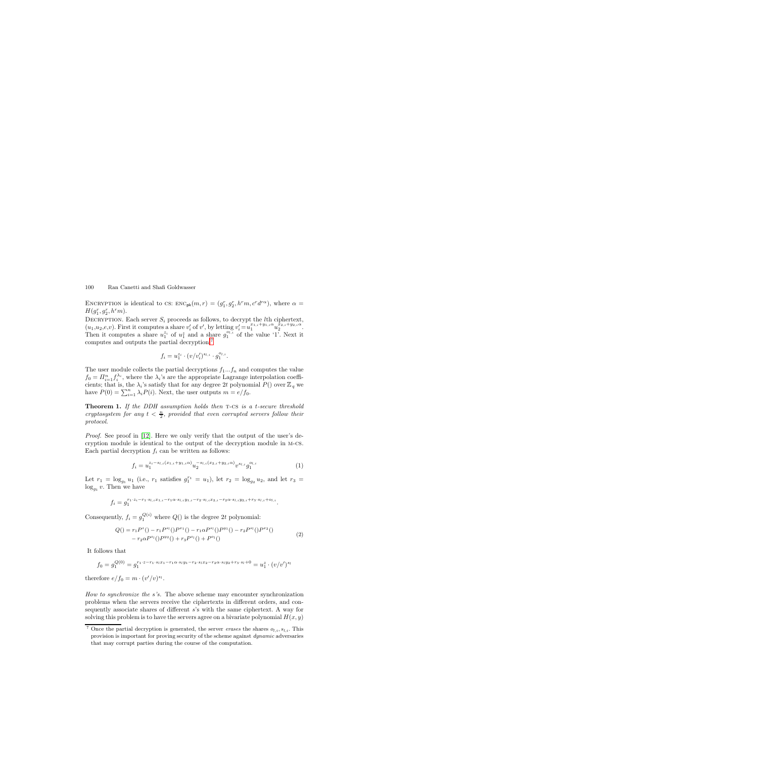ENCRYPTION is identical to CS:  $ENC_{pk}(m,r) = (g_1^r, g_2^r, h^r m, c^r d^{r\alpha})$ , where  $\alpha =$  $H(g_1^r, g_2^r, h^r m).$ 

DECRYPTION. Each server  $S_i$  proceeds as follows, to decrypt the *l*th ciphertext,  $(u_1,u_2,e,v)$ . First it computes a share  $v'_i$  of v', by letting  $v'_i = u_1^{x_{1,i}+y_{1,i}\alpha} u_2^{\dot{x}_{2,i}+y_{2,i}\alpha}$ . Then it computes a share  $u_1^{z_i}$  of  $u_1^z$  and a share  $g_1^{o_{l,i}}$  of the value '1<sup>'</sup>. Next it computes and outputs the partial decryption:[7](#page-10-1)

$$
f_i = u_1^{z_i} \cdot (v/v_i')^{s_{l,i}} \cdot g_1^{o_{l,i}}.
$$

The user module collects the partial decryptions  $f_1...f_n$  and computes the value  $f_0 = \prod_{i=1}^n f_i^{\lambda_i}$ , where the  $\lambda_i$ 's are the appropriate Lagrange interpolation coefficients; that is, the  $\lambda_i$ 's satisfy that for any degree 2t polynomial  $P()$  over  $\mathbb{Z}_q$  we have  $P(0) = \sum_{i=1}^{n} \lambda_i P(i)$ . Next, the user outputs  $m = e/f_0$ .

<span id="page-10-2"></span>**Theorem 1.** If the DDH assumption holds then T-CS is a t-secure threshold *cryptosystem for any*  $t < \frac{n}{2}$ , provided that even corrupted servers follow their *protocol.*

*Proof.* See proof in [\[12\]](#page-15-10). Here we only verify that the output of the user's decryption module is identical to the output of the decryption module in m-cs. Each partial decryption  $f_i$  can be written as follows:

$$
f_i = u_1^{z_i - s_{l,i}(x_{1,i} + y_{1,i}\alpha)} u_2^{-s_{l,i}(x_{2,i} + y_{2,i}\alpha)} v^{s_{l,i}} g_1^{o_{l,i}} \tag{1}
$$

Let  $r_1 = \log_{g_1} u_1$  (i.e.,  $r_1$  satisfies  $g_1^{r_1} = u_1$ ), let  $r_2 = \log_{g_2} u_2$ , and let  $r_3 =$  $log_{a_1} v$ . Then we have

$$
f_i = g_1^{r_1 \cdot z_i - r_1 \cdot s_{l,i} x_{1,i} - r_1 \alpha \cdot s_{l,i} y_{1,i} - r_2 \cdot s_{l,i} x_{2,i} - r_2 \alpha \cdot s_{l,i} y_{2,i} + r_3 \cdot s_{l,i} + o_{l,i}}.
$$

Consequently,  $f_i = g_1^{Q(i)}$  where  $Q(i)$  is the degree 2t polynomial:

<span id="page-10-0"></span>
$$
Q() = r_1 P^{z}() - r_1 P^{s_l}(P^{x_1}() - r_1 \alpha P^{s_l}()P^{y_1}() - r_2 P^{s_l}()P^{x_2}()
$$
  
- 
$$
r_2 \alpha P^{s_l}(P^{y_2}() + r_3 P^{s_l}() + P^{o_l}()
$$
 (2)

It follows that

$$
f_0 = g_1^{Q(0)} = g_1^{r_1 \cdot z - r_1 \cdot s_l x_1 - r_1 \alpha \cdot s_l y_1 - r_2 \cdot s_l x_2 - r_2 \alpha \cdot s_l y_2 + r_3 \cdot s_l + 0} = u_1^z \cdot (v/v')^{s_l}
$$

therefore  $e/f_0 = m \cdot (v'/v)^{s_l}$ .

*How to synchronize the* s*'s.* The above scheme may encounter synchronization problems when the servers receive the ciphertexts in different orders, and consequently associate shares of different s's with the same ciphertext. A way for solving this problem is to have the servers agree on a bivariate polynomial  $H(x, y)$ 

<span id="page-10-1"></span><sup>&</sup>lt;sup>7</sup> Once the partial decryption is generated, the server *erases* the shares  $o_{l,i}, s_{l,i}$ . This provision is important for proving security of the scheme against dynamic adversaries that may corrupt parties during the course of the computation.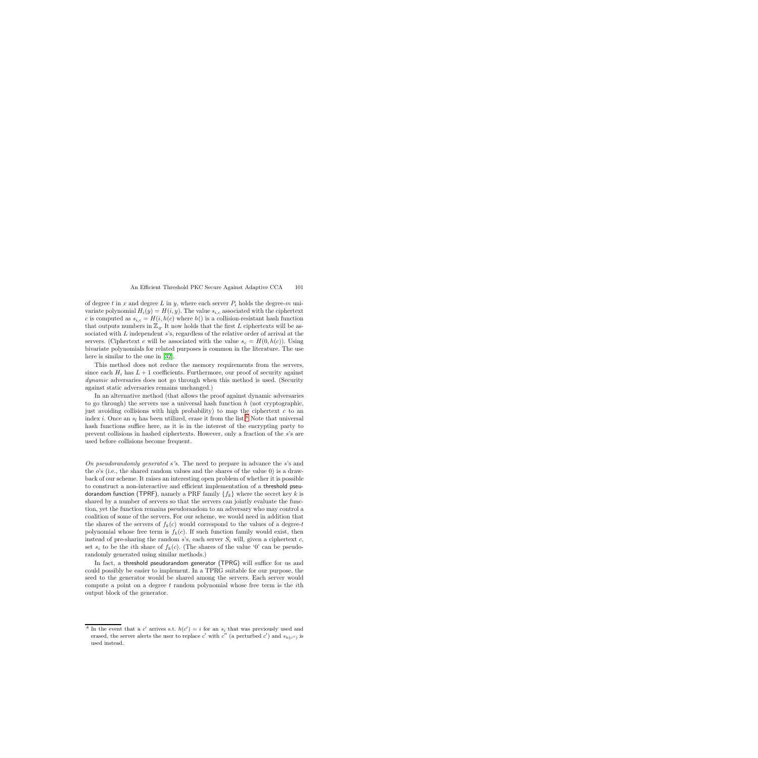of degree t in x and degree L in y, where each server  $P_i$  holds the degree-m univariate polynomial  $H_i(y) = H(i, y)$ . The value  $s_{i,c}$  associated with the ciphertext c is computed as  $s_{i,c} = H(i, h(c)$  where  $h(i)$  is a collision-resistant hash function that outputs numbers in  $\mathbb{Z}_q$ . It now holds that the first L ciphertexts will be associated with L independent s's, regardless of the relative order of arrival at the servers. (Ciphertext c will be associated with the value  $s_c = H(0, h(c))$ . Using bivariate polynomials for related purposes is common in the literature. The use here is similar to the one in [\[32\]](#page-16-13).

This method does not reduce the memory requirements from the servers, since each  $H_i$  has  $L + 1$  coefficients. Furthermore, our proof of security against *dynamic* adversaries does not go through when this method is used. (Security against static adversaries remains unchanged.)

In an alternative method (that allows the proof against dynamic adversaries to go through) the servers use a universal hash function  $h$  (not cryptographic, just avoiding collisions with high probability) to map the ciphertext  $c$  to an index *i*. Once an  $s_l$  has been utilized, erase it from the list.<sup>[8](#page-11-0)</sup> Note that universal hash functions suffice here, as it is in the interest of the encrypting party to prevent collisions in hashed ciphertexts. However, only a fraction of the s's are used before collisions become frequent.

*On pseudorandomly generated* s*'s.* The need to prepare in advance the s's and the o's (i.e., the shared random values and the shares of the value 0) is a drawback of our scheme. It raises an interesting open problem of whether it is possible to construct a non-interactive and efficient implementation of a threshold pseudorandom function (TPRF), namely a PRF family  $\{f_k\}$  where the secret key k is shared by a number of servers so that the servers can jointly evaluate the function, yet the function remains pseudorandom to an adversary who may control a coalition of some of the servers. For our scheme, we would need in addition that the shares of the servers of  $f_k(c)$  would correspond to the values of a degree-t polynomial whose free term is  $f_k(c)$ . If such function family would exist, then instead of pre-sharing the random s's, each server  $S_i$  will, given a ciphertext c, set  $s_i$  to be the *i*th share of  $f_k(c)$ . (The shares of the value '0' can be pseudorandomly generated using similar methods.)

In fact, a threshold pseudorandom generator (TPRG) will suffice for us and could possibly be easier to implement. In a TPRG suitable for our purpose, the seed to the generator would be shared among the servers. Each server would compute a point on a degree  $t$  random polynomial whose free term is the  $i$ th output block of the generator.

<span id="page-11-0"></span><sup>&</sup>lt;sup>8</sup> In the event that a c' arrives s.t.  $h(c') = i$  for an  $s_i$  that was previously used and erased the server algris the user to replace c' with c'' (a perturbed c') and  $s_i$  wis erased, the server alerts the user to replace c' with c'' (a perturbed c') and  $s_{h(c'')}$  is<br>used instead used instead.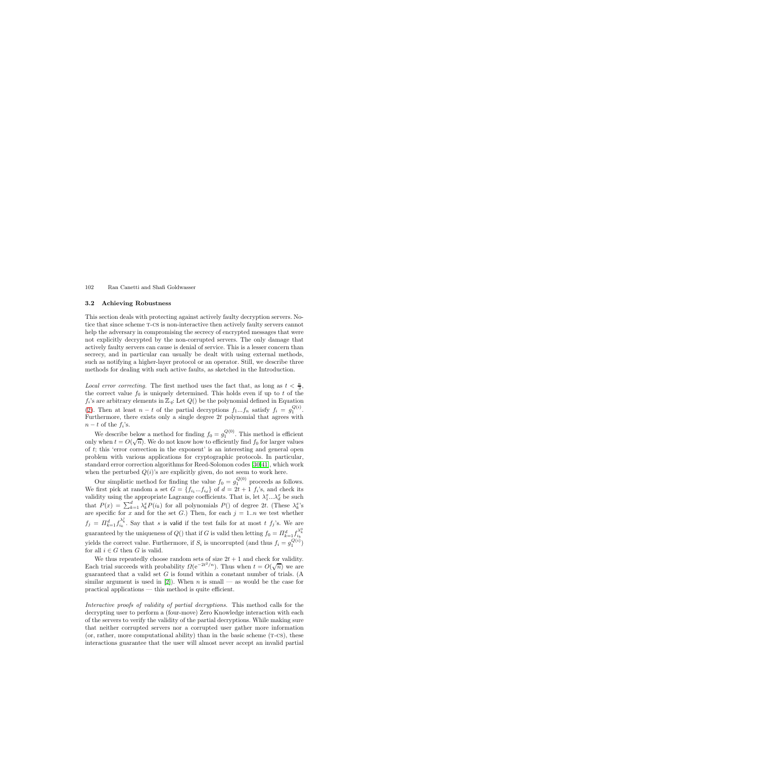#### **3.2 Achieving Robustness**

This section deals with protecting against actively faulty decryption servers. Notice that since scheme t-cs is non-interactive then actively faulty servers cannot help the adversary in compromising the secrecy of encrypted messages that were not explicitly decrypted by the non-corrupted servers. The only damage that actively faulty servers can cause is denial of service. This is a lesser concern than secrecy, and in particular can usually be dealt with using external methods, such as notifying a higher-layer protocol or an operator. Still, we describe three methods for dealing with such active faults, as sketched in the Introduction.

*Local error correcting.* The first method uses the fact that, as long as  $t < \frac{n}{3}$ , the correct value  $f_0$  is uniquely determined. This holds even if up to t of the  $f_i$ 's are arbitrary elements in  $\mathbb{Z}_q$ : Let  $Q()$  be the polynomial defined in Equation [\(2\)](#page-10-0). Then at least  $n-t$  of the partial decryptions  $f_1...f_n$  satisfy  $f_i = g_1^{Q(i)}$ . Furthermore, there exists only a single degree 2t polynomial that agrees with  $n-t$  of the  $f_i$ 's.

We describe below a method for finding  $f_0 = g_1^{\mathcal{Q}(0)}$ . This method is efficient only when  $t = O(\sqrt{n})$ . We do not know how to efficiently find  $f_0$  for larger values of t; this 'error correction in the exponent' is an interesting and general open problem with various applications for cryptographic protocols. In particular, standard error correction algorithms for Reed-Solomon codes [\[30](#page-16-14)[,41\]](#page-16-15), which work when the perturbed  $Q(i)$ 's are explicitly given, do not seem to work here.

Our simplistic method for finding the value  $f_0 = g_1^{\mathcal{Q}(0)}$  proceeds as follows. We first pick at random a set  $G = \{f_{i_1}...f_{i_d}\}$  of  $d = 2t + 1$   $f_i$ 's, and check its validity using the appropriate Lagrange coefficients. That is, let  $\lambda_1^x...\lambda_d^x$  be such that  $P(x) = \sum_{k=1}^{d} \lambda_k^x P(i_k)$  for all polynomials  $P()$  of degree 2t. (These  $\lambda_k^x$ 's are specific for x and for the set G.) Then, for each  $j = 1..n$  we test whether  $f_j = \prod_{k=1}^d f_{i_k}^{\lambda_k^j}$ . Say that s is valid if the test fails for at most t  $f_j$ 's. We are guaranteed by the uniqueness of  $Q()$  that if G is valid then letting  $f_0 = \prod_{k=1}^d f_{i_k}^{\lambda_k^0}$ yields the correct value. Furthermore, if  $S_i$  is uncorrupted (and thus  $f_i = g_1^{Q(i)}$ ) for all  $i \in G$  then G is valid.

We thus repeatedly choose random sets of size  $2t + 1$  and check for validity. We thus repeatedly choose random sets of size  $2t + 1$  and check for validity.<br>Each trial succeeds with probability  $\Omega(e^{-2t^2/n})$ . Thus when  $t = O(\sqrt{n})$  we are guaranteed that a valid set  $G$  is found within a constant number of trials. (A similar argument is used in [\[2\]](#page-15-17)). When n is small — as would be the case for practical applications — this method is quite efficient.

*Interactive proofs of validity of partial decryptions.* This method calls for the decrypting user to perform a (four-move) Zero Knowledge interaction with each of the servers to verify the validity of the partial decryptions. While making sure that neither corrupted servers nor a corrupted user gather more information (or, rather, more computational ability) than in the basic scheme  $(T\text{-}cs)$ , these interactions guarantee that the user will almost never accept an invalid partial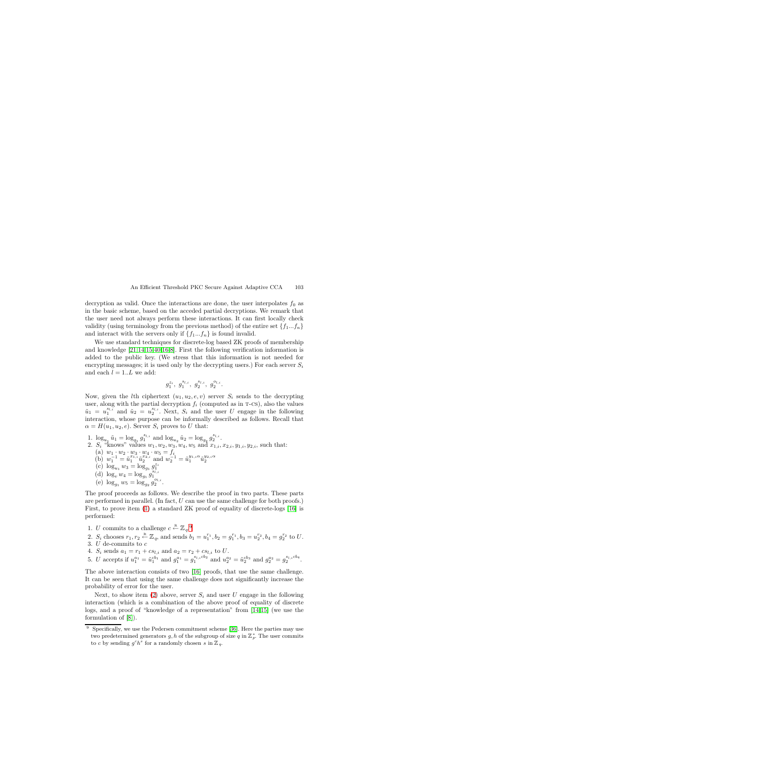decryption as valid. Once the interactions are done, the user interpolates  $f_0$  as in the basic scheme, based on the acceded partial decryptions. We remark that the user need not always perform these interactions. It can first locally check validity (using terminology from the previous method) of the entire set  $\{f_1...f_n\}$ and interact with the servers only if  $\{f_1...f_n\}$  is found invalid.

We use standard techniques for discrete-log based ZK proofs of membership and knowledge [\[21](#page-15-18)[,14](#page-15-19)[,15,](#page-15-20)[40,](#page-16-16)[16,](#page-15-21)[8\]](#page-15-22). First the following verification information is added to the public key. (We stress that this information is not needed for encrypting messages; it is used only by the decrypting users.) For each server  $S_i$ and each  $l = 1...L$  we add:

$$
g_1^{z_i},\ g_1^{s_{l,i}},\ g_2^{s_{l,i}},\ g_2^{o_{l,i}}.
$$

Now, given the *l*th ciphertext  $(u_1, u_2, e, v)$  server  $S_i$  sends to the decrypting user, along with the partial decryption  $f_i$  (computed as in  $T-CS$ ), also the values  $\tilde{u}_1 = u_1^{s_{l,i}}$  and  $\tilde{u}_2 = u_2^{s_{l,i}}$ . Next,  $S_i$  and the user U engage in the following interaction, whose purpose can be informally described as follows. Recall that  $\alpha = H(u_1, u_2, e)$ . Server  $S_i$  proves to U that:

- <span id="page-13-2"></span><span id="page-13-0"></span>1.  $\log_{u_1} \tilde{u}_1 = \log_{g_1} g_1^{s_{l,i}}$  and  $\log_{u_2} \tilde{u}_2 = \log_{g_2} g_2^{s_{l,i}}$ .
- 2.  $S_i$  "knows" values  $w_1, w_2, w_3, w_4, w_5$  and  $x_{1,i}, x_{2,i}, y_{1,i}, y_{2,i}$ , such that:
	- (a)  $w_1 \cdot w_2 \cdot w_3 \cdot w_4 \cdot w_5 = f_i$
	- (b)  $w_1^{-1} = \tilde{u}_1^{x_1,i} \tilde{u}_2^{x_2,i}$  and  $w_2^{-1} = \tilde{u}_1^{y_1,i\alpha} \tilde{u}_2^{y_2,i\alpha}$ <br>
	(c)  $\log_{u_1} w_3 = \log_{g_1} g_1^{z_i}$ <br>
	(d)  $\log_v w_4 = \log_{g_1} g_1^{y_1,i}$
	-
	-
	- (e)  $\log_{g_1} w_5 = \log_{g_2} g_2^{o_{l,i}}.$

The proof proceeds as follows. We describe the proof in two parts. These parts are performed in parallel. (In fact,  $U$  can use the same challenge for both proofs.) First, to prove item [\(1\)](#page-13-0) a standard ZK proof of equality of discrete-logs [\[16\]](#page-15-21) is performed:

1. U commits to a challenge  $c \stackrel{\text{R}}{\leftarrow} \mathbb{Z}_q$ .<sup>[9](#page-13-1)</sup>

2.  $S_i$  chooses  $r_1, r_2 \stackrel{\text{R}}{\leftarrow} \mathbb{Z}_q$ , and sends  $b_1 = u_1^{r_1}, b_2 = g_1^{r_1}, b_3 = u_2^{r_2}, b_4 = g_2^{r_2}$  to U.

- 3.  $U$  de-commits to  $c$
- 4.  $S_i$  sends  $a_1 = r_1 + cs_{l,i}$  and  $a_2 = r_2 + cs_{l,i}$  to U.

5. *U* accepts if 
$$
u_1^{a_1} = \tilde{u}_1^{cb_1}
$$
 and  $g_1^{a_1} = g_1^{s_{l,i}cb_2}$  and  $u_2^{a_2} = \tilde{u}_2^{cb_3}$  and  $g_2^{a_2} = g_2^{s_{l,i}cb_4}$ .

The above interaction consists of two [\[16\]](#page-15-21) proofs, that use the same challenge. It can be seen that using the same challenge does not significantly increase the probability of error for the user.

Next, to show item [\(2\)](#page-13-2) above, server  $S_i$  and user U engage in the following interaction (which is a combination of the above proof of equality of discrete logs, and a proof of "knowledge of a representation" from [\[14,](#page-15-19)[15\]](#page-15-20) (we use the formulation of [\[8\]](#page-15-22)).

<span id="page-13-1"></span> $9$  Specifically, we use the Pedersen commitment scheme [\[36\]](#page-16-17). Here the parties may use two predetermined generators g, h of the subgroup of size q in  $\mathbb{Z}_p^*$ . The user commits to c by sending  $a^c b^s$  for a randomly chosen s in  $\mathbb{Z}$ to c by sending  $g^c h^s$  for a randomly chosen s in  $\mathbb{Z}_q$ .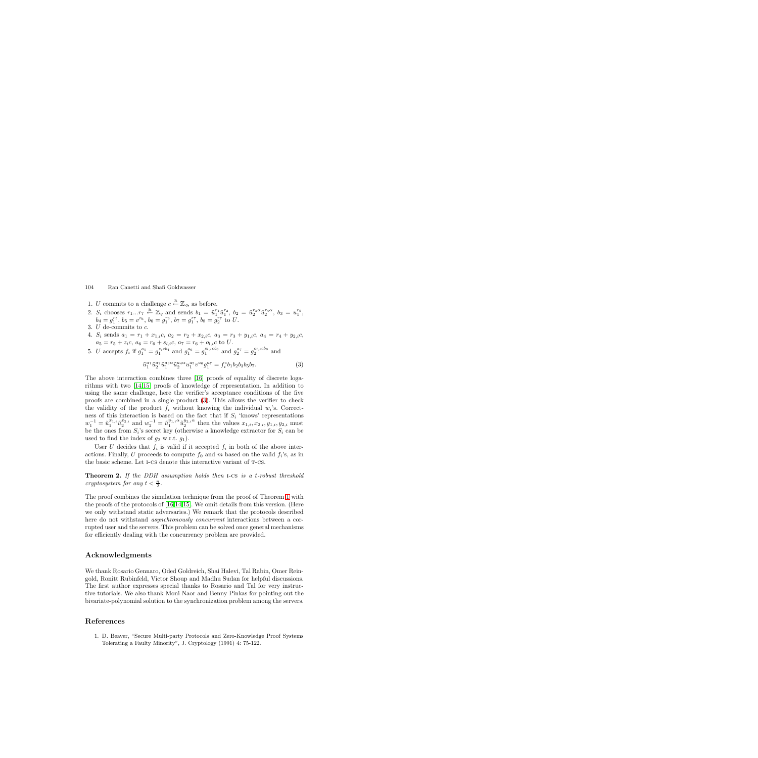- 1. U commits to a challenge  $c \stackrel{\text{R}}{\leftarrow} \mathbb{Z}_q$ , as before.
- 2.  $S_i$  chooses  $r_1...r_7 \stackrel{\text{R}}{\leftarrow} \mathbb{Z}_q$  and sends  $b_1 = \tilde{u}_1^{r_1} \tilde{u}_1^{r_2}$ ,  $b_2 = \tilde{u}_2^{r_3 \alpha} \tilde{u}_2^{r_4 \alpha}$ ,  $b_3 = u_1^{r_5}$ ,  $b_4 = g_1^{r_5}, b_5 = v^{r_6}, b_6 = g_1^{r_6}, b_7 = g_1^{r_7}, b_8 = g_2^{r_7}$  to U.
- 3.  $U$  de-commits to  $c$ .
- 4.  $S_i$  sends  $a_1 = r_1 + x_{1,i}c$ ,  $a_2 = r_2 + x_{2,i}c$ ,  $a_3 = r_3 + y_{1,i}c$ ,  $a_4 = r_4 + y_{2,i}c$ ,  $a_5 = r_5 + z_i c, a_6 = r_6 + s_{l,i} c, a_7 = r_6 + o_{l,i} c$  to U.
- 5. *U* accepts  $f_i$  if  $g_1^{a_5} = g_1^{z_i c b_4}$  and  $g_1^{a_6} = g_1^{s_{l,i} c b_6}$  and  $g_2^{a_7} = g_2^{o_{l,i} c b_8}$  and

<span id="page-14-1"></span>
$$
\tilde{u}_1^{a_1} \tilde{u}_2^{a_2} \tilde{u}_1^{a_3 \alpha} \tilde{u}_2^{a_4 \alpha} u_1^{a_5} v^{a_6} g_1^{a_7} = f_i^c b_1 b_2 b_3 b_5 b_7. \tag{3}
$$

The above interaction combines three [\[16\]](#page-15-21) proofs of equality of discrete logarithms with two [\[14,](#page-15-19)[15\]](#page-15-20) proofs of knowledge of representation. In addition to using the same challenge, here the verifier's acceptance conditions of the five proofs are combined in a single product [\(3\)](#page-14-1). This allows the verifier to check the validity of the product  $f_i$  without knowing the individual  $w_i$ 's. Correctness of this interaction is based on the fact that if  $S_i$  'knows' representations  $w_1^{-1} = \tilde{u}_1^{x_{1,i}} \tilde{u}_2^{x_{2,i}}$  and  $w_2^{-1} = \tilde{u}_1^{y_{1,i}\alpha} \tilde{u}_2^{y_{2,i}\alpha}$  then the values  $x_{1,i}, x_{2,i}, y_{1,i}, y_{2,i}$  must be the ones from  $S_i$ 's secret key (otherwise a knowledge extractor for  $S_i$  can be used to find the index of  $g_2$  w.r.t.  $g_1$ ).

User U decides that  $f_i$  is valid if it accepted  $f_i$  in both of the above interactions. Finally, U proceeds to compute  $f_0$  and m based on the valid  $f_i$ 's, as in the basic scheme. Let I-CS denote this interactive variant of T-CS.

**Theorem 2.** *If the DDH assumption holds then* i-cs *is a* t*-robust threshold cryptosystem for any*  $t < \frac{n}{2}$ *.* 

The proof combines the simulation technique from the proof of Theorem [1](#page-10-2) with the proofs of the protocols of [\[16](#page-15-21)[,14,](#page-15-19)[15\]](#page-15-20). We omit details from this version. (Here we only withstand static adversaries.) We remark that the protocols described here do not withstand *asynchronously concurrent* interactions between a corrupted user and the servers. This problem can be solved once general mechanisms for efficiently dealing with the concurrency problem are provided.

#### **Acknowledgments**

We thank Rosario Gennaro, Oded Goldreich, Shai Halevi, Tal Rabin, Omer Reingold, Ronitt Rubinfeld, Victor Shoup and Madhu Sudan for helpful discussions. The first author expresses special thanks to Rosario and Tal for very instructive tutorials. We also thank Moni Naor and Benny Pinkas for pointing out the bivariate-polynomial solution to the synchronization problem among the servers.

### <span id="page-14-0"></span>**References**

1. D. Beaver, "Secure Multi-party Protocols and Zero-Knowledge Proof Systems Tolerating a Faulty Minority", J. Cryptology (1991) 4: 75-122.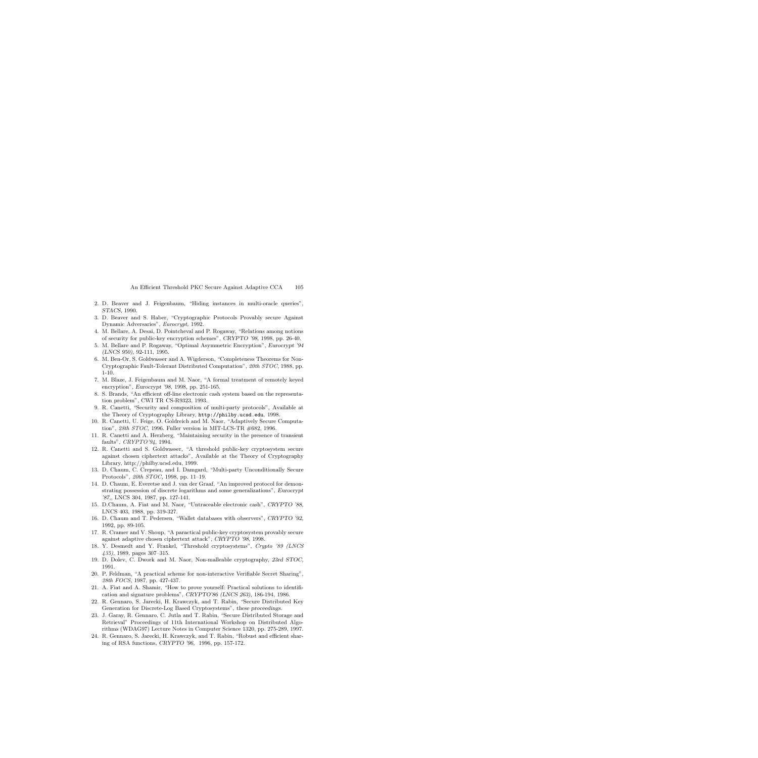- <span id="page-15-17"></span>2. D. Beaver and J. Feigenbaum, "Hiding instances in multi-oracle queries", *STACS,* 1990.
- <span id="page-15-13"></span><span id="page-15-6"></span>3. D. Beaver and S. Haber, "Cryptographic Protocols Provably secure Against Dynamic Adversaries", Eurocrypt, 1992.
- <span id="page-15-12"></span>4. M. Bellare, A. Desai, D. Pointcheval and P. Rogaway, "Relations among notions of security for public-key encryption schemes", *CRYPTO '98,* 1998, pp. 26-40.
- 5. M. Bellare and P. Rogaway, "Optimal Asymmetric Encryption", *Eurocrypt '94 (LNCS 950),* 92-111, 1995.
- <span id="page-15-0"></span>6. M. Ben-Or, S. Goldwasser and A. Wigderson, "Completeness Theorems for Non-Cryptographic Fault-Tolerant Distributed Computation", 20th STOC, 1988, pp. 1-10.
- <span id="page-15-15"></span>7. M. Blaze, J. Feigenbaum and M. Naor, "A formal treatment of remotely keyed encryption", *Eurocrypt '98,* 1998, pp. 251-165.
- <span id="page-15-22"></span>8. S. Brands, "An efficient off-line electronic cash system based on the representation problem", CWI TR CS-R9323, 1993.
- <span id="page-15-11"></span>9. R. Canetti, "Security and composition of multi-party protocols", Available at the Theory of Cryptography Library, http://philby.ucsd.edu, 1998.
- <span id="page-15-14"></span>10. R. Canetti, U. Feige, O. Goldreich and M. Naor, "Adaptively Secure Computation", 28th STOC, 1996. Fuller version in MIT-LCS-TR #682, 1996.
- <span id="page-15-16"></span>11. R. Canetti and A. Herzberg, "Maintaining security in the presence of transient faults", CRYPTO'94, 1994.
- <span id="page-15-10"></span>12. R. Canetti and S. Goldwasser, "A threshold public-key cryptosystem secure against chosen ciphertext attacks", Available at the Theory of Cryptography Library, http://philby.ucsd.edu, 1999.
- <span id="page-15-1"></span>13. D. Chaum, C. Crepeau, and I. Damgard, "Multi-party Unconditionally Secure Protocols", 20th STOC, 1998, pp. 11–19.
- <span id="page-15-19"></span>14. D. Chaum, E. Everetse and J. van der Graaf, "An improved protocol for demonstrating possession of discrete logarithms and some generalizations", *Eurocrypt '87,*, LNCS 304, 1987, pp. 127-141.
- <span id="page-15-20"></span>15. D.Chaum, A. Fiat and M. Naor, "Untraceable electronic cash", *CRYPTO '88,* LNCS 403, 1988, pp. 319-327.
- <span id="page-15-21"></span>16. D. Chaum and T. Pedersen, "Wallet databases with observers", *CRYPTO '92,* 1992, pp. 89-105.
- <span id="page-15-4"></span><span id="page-15-3"></span>17. R. Cramer and V. Shoup, "A paractical public-key cryptosystem provably secure against adaptive chosen ciphertext attack", *CRYPTO '98,* 1998.
- 18. Y. Desmedt and Y. Frankel, "Threshold cryptosystems", Crypto '89 (LNCS) 435), 1989, pages 307–315.
- <span id="page-15-8"></span><span id="page-15-2"></span>19. D. Dolev, C. Dwork and M. Naor, Non-malleable cryptography, *23rd STOC,* 1991.
- 20. P. Feldman, "A practical scheme for non-interactive Verifiable Secret Sharing", 28th FOCS, 1987, pp. 427-437.
- <span id="page-15-18"></span>21. A. Fiat and A. Shamir, "How to prove yourself: Practical solutions to identification and signature problems", *CRYPTO'86 (LNCS 263),* 186-194, 1986.
- <span id="page-15-9"></span>22. R. Gennaro, S. Jarecki, H. Krawczyk, and T. Rabin, "Secure Distributed Key Generation for Discrete-Log Based Cryptosystems", *these proceedings.*
- <span id="page-15-7"></span>23. J. Garay, R. Gennaro, C. Jutla and T. Rabin, "Secure Distributed Storage and Retrieval" Proceedings of 11th International Workshop on Distributed Algorithms (WDAG97) Lecture Notes in Computer Science 1320, pp. 275-289, 1997.
- <span id="page-15-5"></span>24. R. Gennaro, S. Jarecki, H. Krawczyk, and T. Rabin, "Robust and efficient sharing of RSA functions, *CRYPTO '96,* 1996, pp. 157-172.